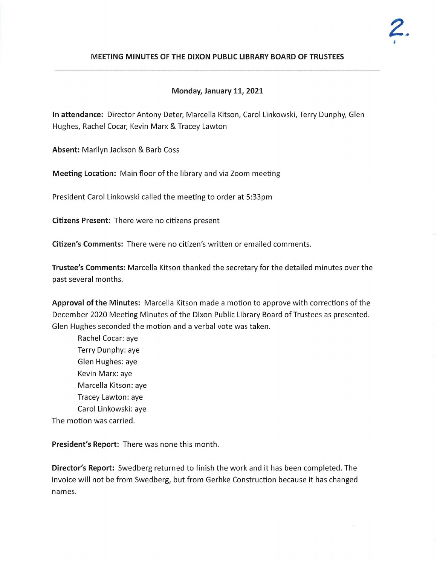

# **MEETING MINUTES OF THE DIXON PUBLIC LIBRARY BOARD OF TRUSTEES**

## **Monday, January 11, 2021**

**In attendance:** Director Antony Deter, Marcella Kitson, Carol Linkowski, Terry Dunphy, Glen Hughes, Rachel Cocar, Kevin Marx & Tracey Lawton

**Absent:** Marilyn Jackson & Barb Coss

**Meeting Location:** Main floor of the library and via Zoom meeting

President Carol Linkowski called the meeting to order at 5:33pm

**Citizens Present:** There were no citizens present

**Citizen's Comments:** There were no citizen's written or emailed comments .

**Trustee's Comments :** Marcella Kitson thanked the secretary for the detailed minutes over the past several months.

**Approval of the Minutes:** Marcella Kitson made a motion to approve with corrections of the December 2020 Meeting Minutes of the Dixon Public Library Board of Trustees as presented . Glen Hughes seconded the motion and a verbal vote was taken.

Rachel Cocar:aye Terry Dunphy: aye Glen Hughes: aye Kevin Marx: aye Marcella Kitson: aye Tracey Lawton: aye Carol Linkowski: aye The motion was carried.

**President's Report:** There was none this month.

**Director's Report:** Swedberg returned to finish the work and it has been completed. The invoice will not be from Swedberg, but from Gerhke Construction because it has changed names.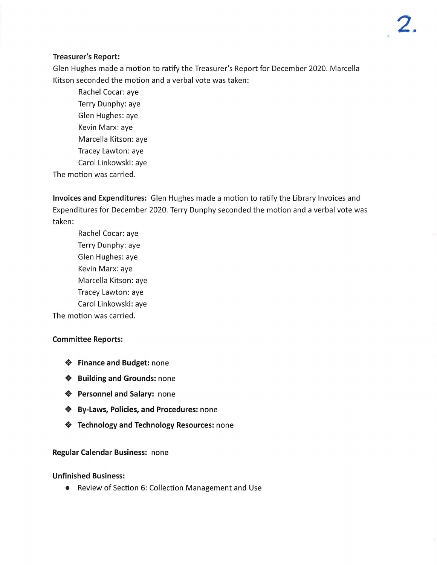## **Treasurer's Report:**

Glen Hughes made a motion to ratify the Treasurer's Report for December 2020. Marcella Kitson seconded the motion and a verbal vote was taken:

Rachel Cocar: aye Terry Dunphy: aye Glen Hughes: aye Kevin Marx: aye Marcella Kitson: aye Tracey Lawton: aye Carol Linkowski: aye

The motion was carried.

**Invoices and Expenditures:** Glen Hughes made a motion to ratify the Library Invoices and Expenditures for December 2020. Terry Dunphy seconded the motion and a verbal vote was taken:

Rachel Cocar: aye Terry Dunphy: aye Glen Hughes: aye Kevin Marx: aye Marcella Kitson: aye Tracey Lawton: aye Carol Linkowski: aye

The motion was carried.

#### **Committee Reports:**

- **Finance and Budget:** none
- **Building and Grounds:** none
- **Personnel and Salary:** none
- **By-Laws, Policies, and Procedures:** none
- **Technology and Technology Resources:** none

#### **Regular Calendar Business:** none

#### **Unfinished Business:**

• Review of Section 6: Collection Management and Use